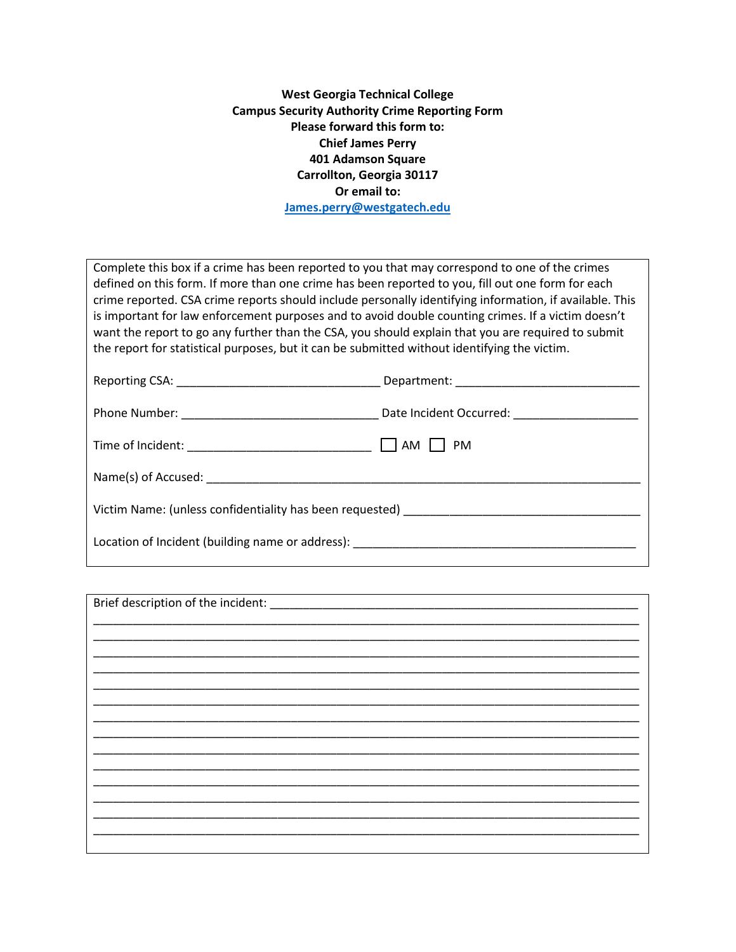**West Georgia Technical College Campus Security Authority Crime Reporting Form Please forward this form to: Chief James Perry 401 Adamson Square Carrollton, Georgia 30117 Or email to: [James.perry@westgatech.edu](mailto:James.perry@westgatech.edu)**

Complete this box if a crime has been reported to you that may correspond to one of the crimes defined on this form. If more than one crime has been reported to you, fill out one form for each crime reported. CSA crime reports should include personally identifying information, if available. This is important for law enforcement purposes and to avoid double counting crimes. If a victim doesn't want the report to go any further than the CSA, you should explain that you are required to submit the report for statistical purposes, but it can be submitted without identifying the victim.

|                                                                                   | PM |  |  |  |
|-----------------------------------------------------------------------------------|----|--|--|--|
|                                                                                   |    |  |  |  |
| Victim Name: (unless confidentiality has been requested) _______________________  |    |  |  |  |
| Location of Incident (building name or address): ________________________________ |    |  |  |  |
|                                                                                   |    |  |  |  |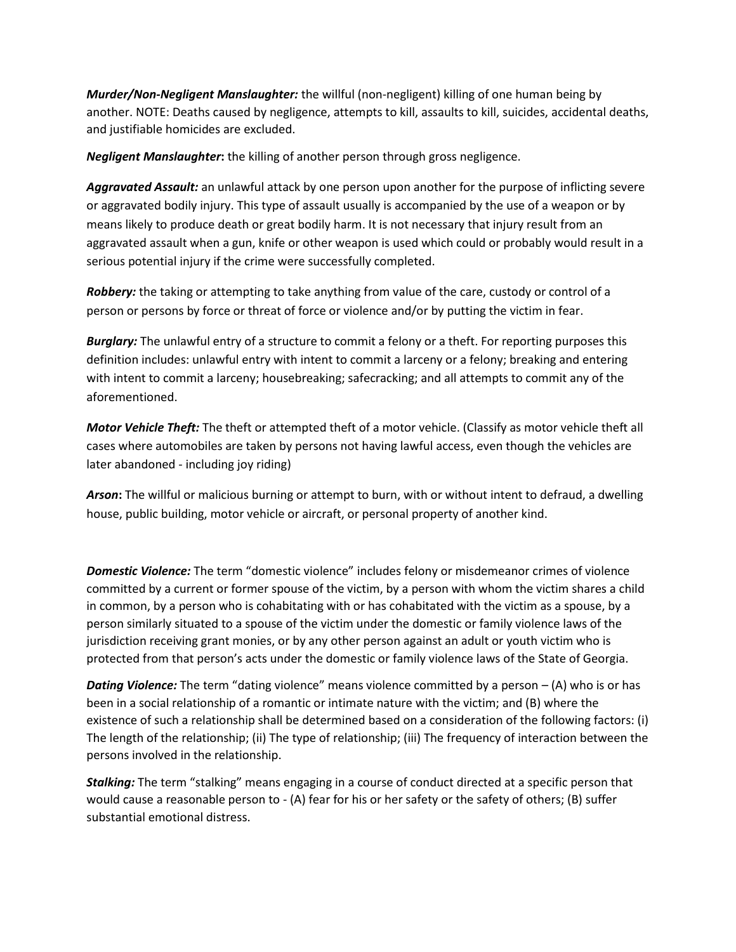*Murder/Non-Negligent Manslaughter:* the willful (non-negligent) killing of one human being by another. NOTE: Deaths caused by negligence, attempts to kill, assaults to kill, suicides, accidental deaths, and justifiable homicides are excluded.

*Negligent Manslaughter***:** the killing of another person through gross negligence.

*Aggravated Assault:* an unlawful attack by one person upon another for the purpose of inflicting severe or aggravated bodily injury. This type of assault usually is accompanied by the use of a weapon or by means likely to produce death or great bodily harm. It is not necessary that injury result from an aggravated assault when a gun, knife or other weapon is used which could or probably would result in a serious potential injury if the crime were successfully completed.

*Robbery:* the taking or attempting to take anything from value of the care, custody or control of a person or persons by force or threat of force or violence and/or by putting the victim in fear.

*Burglary:* The unlawful entry of a structure to commit a felony or a theft. For reporting purposes this definition includes: unlawful entry with intent to commit a larceny or a felony; breaking and entering with intent to commit a larceny; housebreaking; safecracking; and all attempts to commit any of the aforementioned.

*Motor Vehicle Theft:* The theft or attempted theft of a motor vehicle. (Classify as motor vehicle theft all cases where automobiles are taken by persons not having lawful access, even though the vehicles are later abandoned - including joy riding)

*Arson***:** The willful or malicious burning or attempt to burn, with or without intent to defraud, a dwelling house, public building, motor vehicle or aircraft, or personal property of another kind.

*Domestic Violence:* The term "domestic violence" includes felony or misdemeanor crimes of violence committed by a current or former spouse of the victim, by a person with whom the victim shares a child in common, by a person who is cohabitating with or has cohabitated with the victim as a spouse, by a person similarly situated to a spouse of the victim under the domestic or family violence laws of the jurisdiction receiving grant monies, or by any other person against an adult or youth victim who is protected from that person's acts under the domestic or family violence laws of the State of Georgia.

*Dating Violence:* The term "dating violence" means violence committed by a person – (A) who is or has been in a social relationship of a romantic or intimate nature with the victim; and (B) where the existence of such a relationship shall be determined based on a consideration of the following factors: (i) The length of the relationship; (ii) The type of relationship; (iii) The frequency of interaction between the persons involved in the relationship.

*Stalking:* The term "stalking" means engaging in a course of conduct directed at a specific person that would cause a reasonable person to - (A) fear for his or her safety or the safety of others; (B) suffer substantial emotional distress.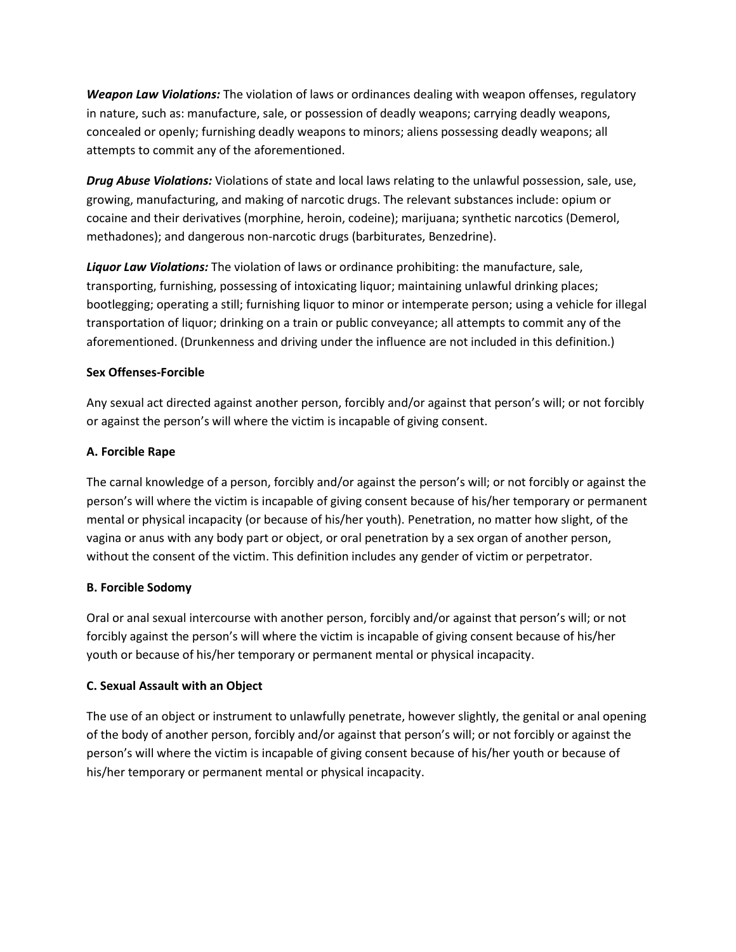*Weapon Law Violations:* The violation of laws or ordinances dealing with weapon offenses, regulatory in nature, such as: manufacture, sale, or possession of deadly weapons; carrying deadly weapons, concealed or openly; furnishing deadly weapons to minors; aliens possessing deadly weapons; all attempts to commit any of the aforementioned.

*Drug Abuse Violations:* Violations of state and local laws relating to the unlawful possession, sale, use, growing, manufacturing, and making of narcotic drugs. The relevant substances include: opium or cocaine and their derivatives (morphine, heroin, codeine); marijuana; synthetic narcotics (Demerol, methadones); and dangerous non-narcotic drugs (barbiturates, Benzedrine).

*Liquor Law Violations:* The violation of laws or ordinance prohibiting: the manufacture, sale, transporting, furnishing, possessing of intoxicating liquor; maintaining unlawful drinking places; bootlegging; operating a still; furnishing liquor to minor or intemperate person; using a vehicle for illegal transportation of liquor; drinking on a train or public conveyance; all attempts to commit any of the aforementioned. (Drunkenness and driving under the influence are not included in this definition.)

# **Sex Offenses-Forcible**

Any sexual act directed against another person, forcibly and/or against that person's will; or not forcibly or against the person's will where the victim is incapable of giving consent.

# **A. Forcible Rape**

The carnal knowledge of a person, forcibly and/or against the person's will; or not forcibly or against the person's will where the victim is incapable of giving consent because of his/her temporary or permanent mental or physical incapacity (or because of his/her youth). Penetration, no matter how slight, of the vagina or anus with any body part or object, or oral penetration by a sex organ of another person, without the consent of the victim. This definition includes any gender of victim or perpetrator.

## **B. Forcible Sodomy**

Oral or anal sexual intercourse with another person, forcibly and/or against that person's will; or not forcibly against the person's will where the victim is incapable of giving consent because of his/her youth or because of his/her temporary or permanent mental or physical incapacity.

## **C. Sexual Assault with an Object**

The use of an object or instrument to unlawfully penetrate, however slightly, the genital or anal opening of the body of another person, forcibly and/or against that person's will; or not forcibly or against the person's will where the victim is incapable of giving consent because of his/her youth or because of his/her temporary or permanent mental or physical incapacity.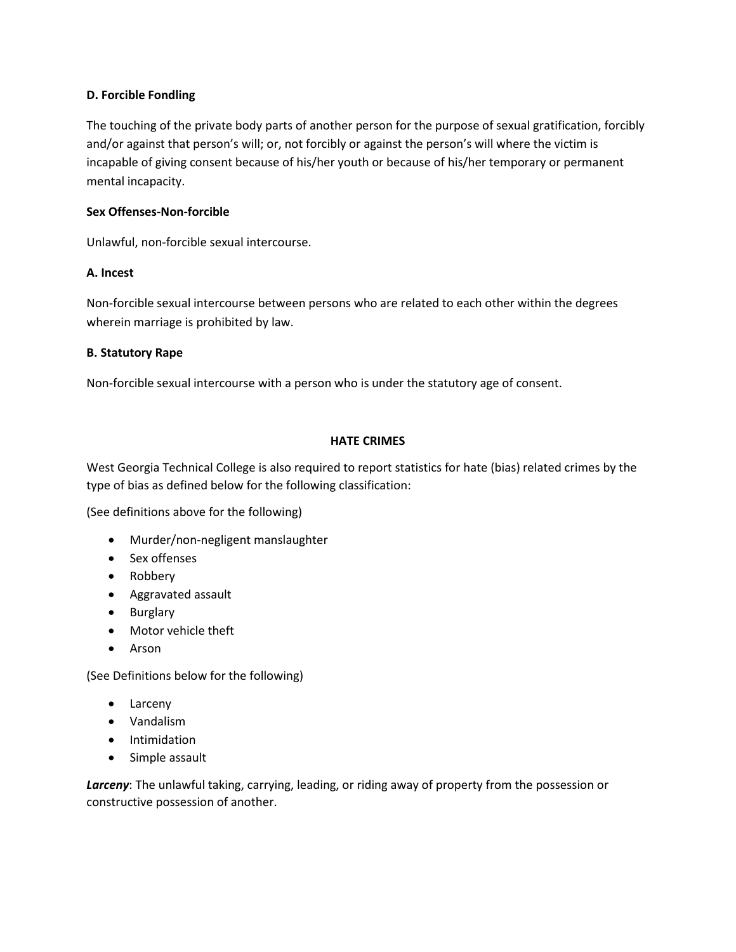## **D. Forcible Fondling**

The touching of the private body parts of another person for the purpose of sexual gratification, forcibly and/or against that person's will; or, not forcibly or against the person's will where the victim is incapable of giving consent because of his/her youth or because of his/her temporary or permanent mental incapacity.

## **Sex Offenses-Non-forcible**

Unlawful, non-forcible sexual intercourse.

## **A. Incest**

Non-forcible sexual intercourse between persons who are related to each other within the degrees wherein marriage is prohibited by law.

# **B. Statutory Rape**

Non-forcible sexual intercourse with a person who is under the statutory age of consent.

# **HATE CRIMES**

West Georgia Technical College is also required to report statistics for hate (bias) related crimes by the type of bias as defined below for the following classification:

(See definitions above for the following)

- Murder/non-negligent manslaughter
- Sex offenses
- Robbery
- Aggravated assault
- Burglary
- Motor vehicle theft
- Arson

(See Definitions below for the following)

- Larceny
- Vandalism
- Intimidation
- Simple assault

*Larceny*: The unlawful taking, carrying, leading, or riding away of property from the possession or constructive possession of another.